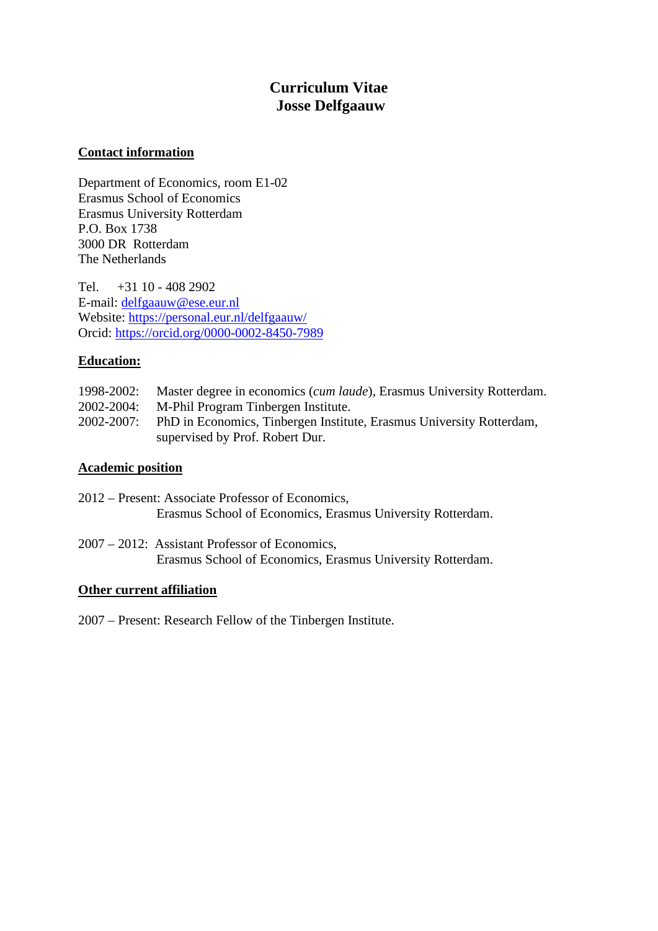# **Curriculum Vitae Josse Delfgaauw**

### **Contact information**

Department of Economics, room E1-02 Erasmus School of Economics Erasmus University Rotterdam P.O. Box 1738 3000 DR Rotterdam The Netherlands

Tel. +31 10 - 408 2902 E-mail: [delfgaauw@ese.eur.nl](mailto:delfgaauw@ese.eur.nl) Website:<https://personal.eur.nl/delfgaauw/> Orcid:<https://orcid.org/0000-0002-8450-7989>

# **Education:**

| 1998-2002: | Master degree in economics ( <i>cum laude</i> ), Erasmus University Rotterdam. |
|------------|--------------------------------------------------------------------------------|
| 2002-2004: | M-Phil Program Tinbergen Institute.                                            |
| 2002-2007: | PhD in Economics, Tinbergen Institute, Erasmus University Rotterdam,           |
|            | supervised by Prof. Robert Dur.                                                |

#### **Academic position**

| 2012 – Present: Associate Professor of Economics, |                                                            |  |  |  |  |  |  |
|---------------------------------------------------|------------------------------------------------------------|--|--|--|--|--|--|
|                                                   | Erasmus School of Economics, Erasmus University Rotterdam. |  |  |  |  |  |  |

2007 – 2012: Assistant Professor of Economics, Erasmus School of Economics, Erasmus University Rotterdam.

#### **Other current affiliation**

2007 – Present: Research Fellow of the Tinbergen Institute.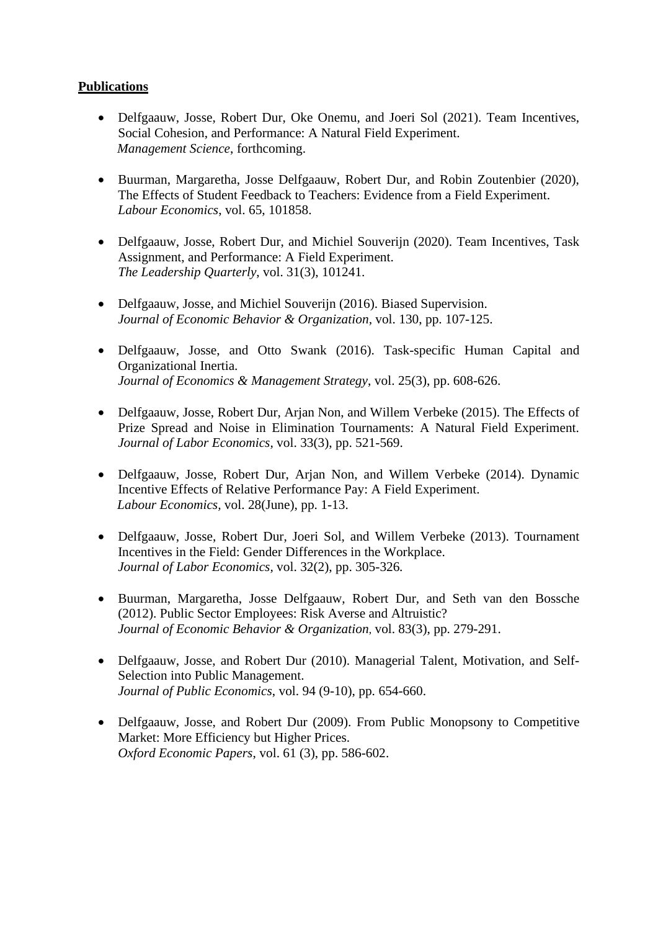# **Publications**

- Delfgaauw, Josse, Robert Dur, Oke Onemu, and Joeri Sol (2021). Team Incentives, Social Cohesion, and Performance: A Natural Field Experiment. *Management Science*, forthcoming.
- Buurman, Margaretha, Josse Delfgaauw, Robert Dur, and Robin Zoutenbier (2020), The Effects of Student Feedback to Teachers: Evidence from a Field Experiment. *Labour Economics*, vol. 65, 101858.
- Delfgaauw, Josse, Robert Dur, and Michiel Souverijn (2020). Team Incentives, Task Assignment, and Performance: A Field Experiment. *The Leadership Quarterly*, vol. 31(3), 101241.
- Delfgaauw, Josse, and Michiel Souverijn (2016). Biased Supervision. *Journal of Economic Behavior & Organization,* vol. 130, pp. 107-125.
- Delfgaauw, Josse, and Otto Swank (2016). Task-specific Human Capital and Organizational Inertia. *Journal of Economics & Management Strategy*, vol. 25(3), pp. 608-626.
- Delfgaauw, Josse, Robert Dur, Arjan Non, and Willem Verbeke (2015). The Effects of Prize Spread and Noise in Elimination Tournaments: A Natural Field Experiment. *Journal of Labor Economics,* vol. 33(3), pp. 521-569.
- Delfgaauw, Josse, Robert Dur, Arjan Non, and Willem Verbeke (2014). Dynamic Incentive Effects of Relative Performance Pay: A Field Experiment. *Labour Economics,* vol. 28(June), pp. 1-13.
- Delfgaauw, Josse, Robert Dur, Joeri Sol, and Willem Verbeke (2013). Tournament Incentives in the Field: Gender Differences in the Workplace. *Journal of Labor Economics,* vol. 32(2), pp. 305-326*.*
- Buurman, Margaretha, Josse Delfgaauw, Robert Dur, and Seth van den Bossche (2012). Public Sector Employees: Risk Averse and Altruistic? *Journal of Economic Behavior & Organization*, vol. 83(3), pp. 279-291.
- Delfgaauw, Josse, and Robert Dur (2010). Managerial Talent, Motivation, and Self-Selection into Public Management. *Journal of Public Economics*, vol. 94 (9-10), pp. 654-660.
- Delfgaauw, Josse, and Robert Dur (2009). From Public Monopsony to Competitive Market: More Efficiency but Higher Prices. *Oxford Economic Papers*, vol. 61 (3), pp. 586-602.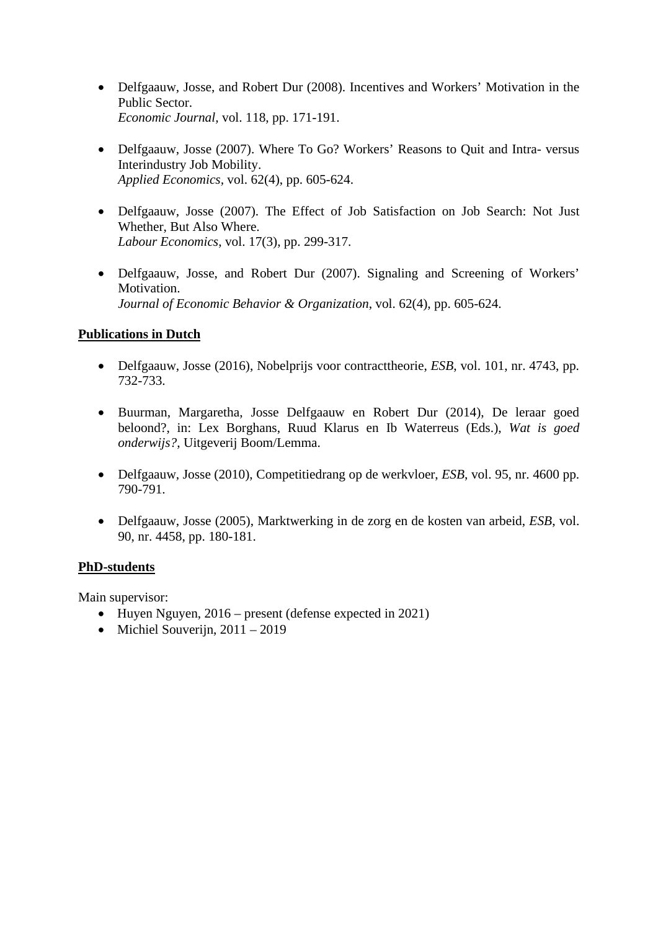- Delfgaauw, Josse, and Robert Dur (2008). Incentives and Workers' Motivation in the Public Sector. *Economic Journal,* vol. 118, pp. 171-191.
- Delfgaauw, Josse (2007). Where To Go? Workers' Reasons to Quit and Intra- versus Interindustry Job Mobility. *Applied Economics,* vol. 62(4), pp. 605-624.
- Delfgaauw, Josse (2007). The Effect of Job Satisfaction on Job Search: Not Just Whether, But Also Where. *Labour Economics*, vol. 17(3), pp. 299-317.
- Delfgaauw, Josse, and Robert Dur (2007). Signaling and Screening of Workers' Motivation. *Journal of Economic Behavior & Organization*, vol. 62(4), pp. 605-624.

# **Publications in Dutch**

- Delfgaauw, Josse (2016), Nobelprijs voor contracttheorie, *ESB*, vol. 101, nr. 4743, pp. 732-733.
- Buurman, Margaretha, Josse Delfgaauw en Robert Dur (2014), De leraar goed beloond?, in: Lex Borghans, Ruud Klarus en Ib Waterreus (Eds.), *Wat is goed onderwijs?*, Uitgeverij Boom/Lemma.
- Delfgaauw, Josse (2010), Competitiedrang op de werkvloer, *ESB*, vol. 95, nr. 4600 pp. 790-791.
- Delfgaauw, Josse (2005), Marktwerking in de zorg en de kosten van arbeid, *ESB*, vol. 90, nr. 4458, pp. 180-181.

# **PhD-students**

Main supervisor:

- Huyen Nguyen, 2016 present (defense expected in 2021)
- Michiel Souverijn,  $2011 2019$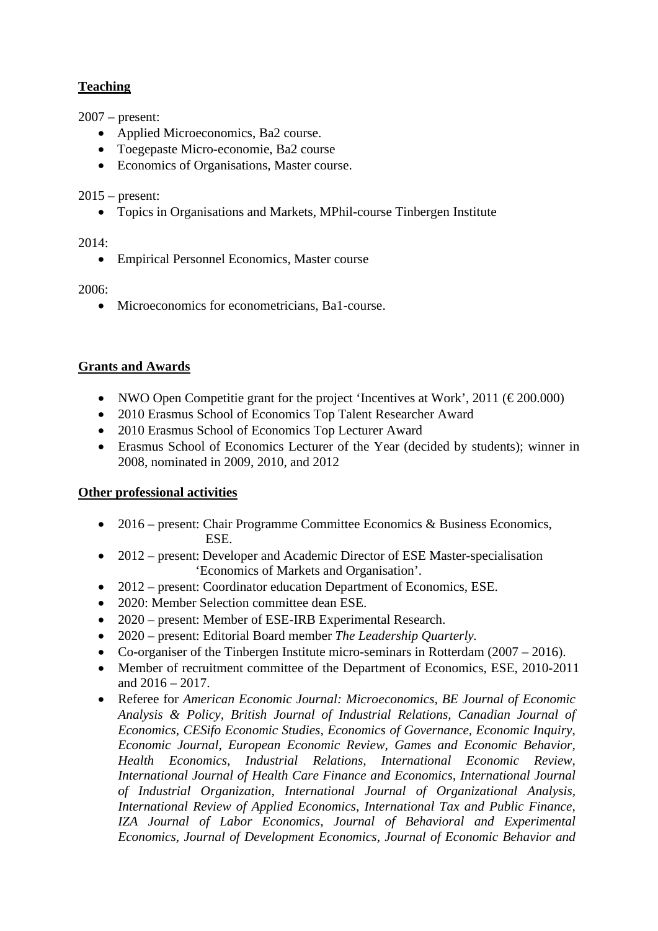# **Teaching**

2007 – present:

- Applied Microeconomics, Ba2 course.
- Toegepaste Micro-economie, Ba2 course
- Economics of Organisations, Master course.

2015 – present:

• Topics in Organisations and Markets, MPhil-course Tinbergen Institute

2014:

• Empirical Personnel Economics, Master course

2006:

• Microeconomics for econometricians, Ba1-course.

# **Grants and Awards**

- NWO Open Competitie grant for the project 'Incentives at Work', 2011 ( $\epsilon$ 200.000)
- 2010 Erasmus School of Economics Top Talent Researcher Award
- 2010 Erasmus School of Economics Top Lecturer Award
- Erasmus School of Economics Lecturer of the Year (decided by students); winner in 2008, nominated in 2009, 2010, and 2012

# **Other professional activities**

- 2016 present: Chair Programme Committee Economics & Business Economics, ESE.
- 2012 present: Developer and Academic Director of ESE Master-specialisation 'Economics of Markets and Organisation'.
- 2012 present: Coordinator education Department of Economics, ESE.
- 2020: Member Selection committee dean ESE.
- 2020 present: Member of ESE-IRB Experimental Research.
- 2020 present: Editorial Board member *The Leadership Quarterly.*
- Co-organiser of the Tinbergen Institute micro-seminars in Rotterdam (2007 2016).
- Member of recruitment committee of the Department of Economics, ESE, 2010-2011 and 2016 – 2017.
- Referee for *American Economic Journal: Microeconomics, BE Journal of Economic Analysis & Policy, British Journal of Industrial Relations, Canadian Journal of Economics, CESifo Economic Studies, Economics of Governance, Economic Inquiry, Economic Journal, European Economic Review, Games and Economic Behavior, Health Economics, Industrial Relations, International Economic Review, International Journal of Health Care Finance and Economics, International Journal of Industrial Organization, International Journal of Organizational Analysis, International Review of Applied Economics, International Tax and Public Finance, IZA Journal of Labor Economics, Journal of Behavioral and Experimental Economics, Journal of Development Economics, Journal of Economic Behavior and*